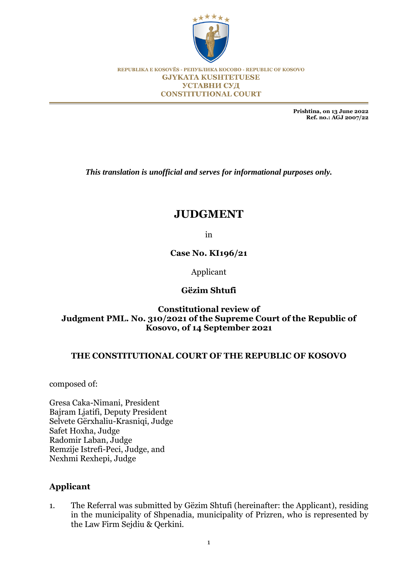

REPUBLIKA E KOSOVËS - РЕПУБЛИКА КОСОВО - REPUBLIC OF KOSOVO **GJYKATA KUSHTETUESE** УСТАВНИ СУД **CONSTITUTIONAL COURT** 

> **Prishtina, on 13 June 2022 Ref. no.: AGJ 2007/22**

*This translation is unofficial and serves for informational purposes only.*

# **JUDGMENT**

in

**Case No. KI196/21**

Applicant

## **Gëzim Shtufi**

## **Constitutional review of Judgment PML. No. 310/2021 of the Supreme Court of the Republic of Kosovo, of 14 September 2021**

#### **THE CONSTITUTIONAL COURT OF THE REPUBLIC OF KOSOVO**

composed of:

Gresa Caka-Nimani, President Bajram Ljatifi, Deputy President Selvete Gërxhaliu-Krasniqi, Judge Safet Hoxha, Judge Radomir Laban, Judge Remzije Istrefi-Peci, Judge, and Nexhmi Rexhepi, Judge

## **Applicant**

1. The Referral was submitted by Gëzim Shtufi (hereinafter: the Applicant), residing in the municipality of Shpenadia, municipality of Prizren, who is represented by the Law Firm Sejdiu & Qerkini.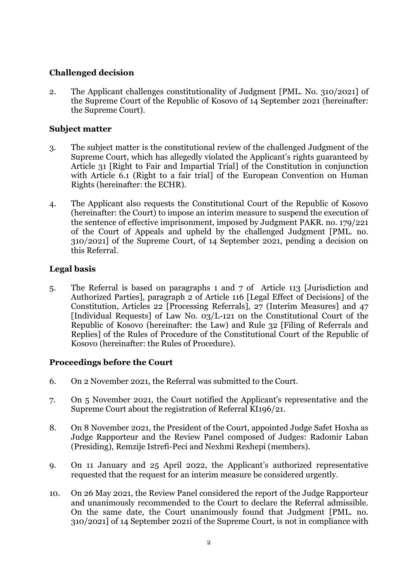# **Challenged decision**

2. The Applicant challenges constitutionality of Judgment [PML. No. 310/2021] of the Supreme Court of the Republic of Kosovo of 14 September 2021 (hereinafter: the Supreme Court).

## **Subject matter**

- 3. The subject matter is the constitutional review of the challenged Judgment of the Supreme Court, which has allegedly violated the Applicant's rights guaranteed by Article 31 [Right to Fair and Impartial Trial] of the Constitution in conjunction with Article 6.1 (Right to a fair trial) of the European Convention on Human Rights (hereinafter: the ECHR).
- 4. The Applicant also requests the Constitutional Court of the Republic of Kosovo (hereinafter: the Court) to impose an interim measure to suspend the execution of the sentence of effective imprisonment, imposed by Judgment PAKR. no. 179/221 of the Court of Appeals and upheld by the challenged Judgment [PML. no. 310/2021] of the Supreme Court, of 14 September 2021, pending a decision on this Referral.

## **Legal basis**

5. The Referral is based on paragraphs 1 and 7 of Article 113 [Jurisdiction and Authorized Parties], paragraph 2 of Article 116 [Legal Effect of Decisions] of the Constitution, Articles 22 [Processing Referrals], 27 (Interim Measures] and 47 [Individual Requests] of Law No. 03/L-121 on the Constitutional Court of the Republic of Kosovo (hereinafter: the Law) and Rule 32 [Filing of Referrals and Replies] of the Rules of Procedure of the Constitutional Court of the Republic of Kosovo (hereinafter: the Rules of Procedure).

## **Proceedings before the Court**

- 6. On 2 November 2021, the Referral was submitted to the Court.
- 7. On 5 November 2021, the Court notified the Applicant's representative and the Supreme Court about the registration of Referral KI196/21.
- 8. On 8 November 2021, the President of the Court, appointed Judge Safet Hoxha as Judge Rapporteur and the Review Panel composed of Judges: Radomir Laban (Presiding), Remzije Istrefi-Peci and Nexhmi Rexhepi (members).
- 9. On 11 January and 25 April 2022, the Applicant's authorized representative requested that the request for an interim measure be considered urgently.
- 10. On 26 May 2021, the Review Panel considered the report of the Judge Rapporteur and unanimously recommended to the Court to declare the Referral admissible. On the same date, the Court unanimously found that Judgment [PML. no. 310/2021] of 14 September 2021i of the Supreme Court, is not in compliance with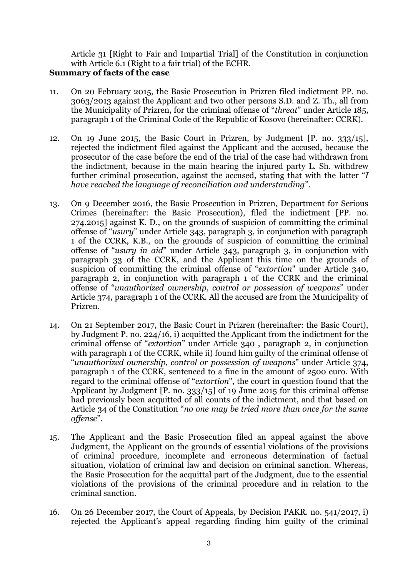Article 31 [Right to Fair and Impartial Trial] of the Constitution in conjunction with Article 6.1 (Right to a fair trial) of the ECHR.

# **Summary of facts of the case**

- 11. On 20 February 2015, the Basic Prosecution in Prizren filed indictment PP. no. 3063/2013 against the Applicant and two other persons S.D. and Z. Th., all from the Municipality of Prizren, for the criminal offense of "*threat*" under Article 185, paragraph 1 of the Criminal Code of the Republic of Kosovo (hereinafter: CCRK).
- 12. On 19 June 2015, the Basic Court in Prizren, by Judgment [P. no. 333/15], rejected the indictment filed against the Applicant and the accused, because the prosecutor of the case before the end of the trial of the case had withdrawn from the indictment, because in the main hearing the injured party L. Sh. withdrew further criminal prosecution, against the accused, stating that with the latter "*I have reached the language of reconciliation and understanding*".
- 13. On 9 December 2016, the Basic Prosecution in Prizren, Department for Serious Crimes (hereinafter: the Basic Prosecution), filed the indictment [PP. no. 274.2015] against K. D., on the grounds of suspicion of committing the criminal offense of "*usury*" under Article 343, paragraph 3, in conjunction with paragraph 1 of the CCRK, K.B., on the grounds of suspicion of committing the criminal offense of "*usury in aid*" under Article 343, paragraph 3, in conjunction with paragraph 33 of the CCRK, and the Applicant this time on the grounds of suspicion of committing the criminal offense of "*extortion*" under Article 340, paragraph 2, in conjunction with paragraph 1 of the CCRK and the criminal offense of "*unauthorized ownership, control or possession of weapons*" under Article 374, paragraph 1 of the CCRK. All the accused are from the Municipality of Prizren.
- 14. On 21 September 2017, the Basic Court in Prizren (hereinafter: the Basic Court), by Judgment P. no. 224/16, i) acquitted the Applicant from the indictment for the criminal offense of "*extortion*" under Article 340 , paragraph 2, in conjunction with paragraph 1 of the CCRK, while ii) found him guilty of the criminal offense of "*unauthorized ownership, control or possession of weapons*" under Article 374, paragraph 1 of the CCRK, sentenced to a fine in the amount of 2500 euro. With regard to the criminal offense of "*extortion*", the court in question found that the Applicant by Judgment [P. no. 333/15] of 19 June 2015 for this criminal offense had previously been acquitted of all counts of the indictment, and that based on Article 34 of the Constitution "*no one may be tried more than once for the same offense*".
- 15. The Applicant and the Basic Prosecution filed an appeal against the above Judgment, the Applicant on the grounds of essential violations of the provisions of criminal procedure, incomplete and erroneous determination of factual situation, violation of criminal law and decision on criminal sanction. Whereas, the Basic Prosecution for the acquittal part of the Judgment, due to the essential violations of the provisions of the criminal procedure and in relation to the criminal sanction.
- 16. On 26 December 2017, the Court of Appeals, by Decision PAKR. no. 541/2017, i) rejected the Applicant's appeal regarding finding him guilty of the criminal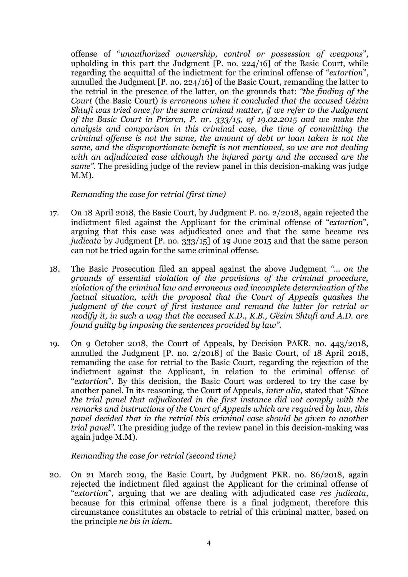offense of "*unauthorized ownership, control or possession of weapons*", upholding in this part the Judgment [P. no. 224/16] of the Basic Court, while regarding the acquittal of the indictment for the criminal offense of "*extortion*", annulled the Judgment [P. no. 224/16] of the Basic Court, remanding the latter to the retrial in the presence of the latter, on the grounds that: *"the finding of the Court* (the Basic Court) *is erroneous when it concluded that the accused Gëzim Shtufi was tried once for the same criminal matter, if we refer to the Judgment of the Basic Court in Prizren, P. nr. 333/15, of 19.02.2015 and we make the analysis and comparison in this criminal case, the time of committing the criminal offense is not the same, the amount of debt or loan taken is not the same, and the disproportionate benefit is not mentioned, so we are not dealing with an adjudicated case although the injured party and the accused are the same".* The presiding judge of the review panel in this decision-making was judge M.M).

#### *Remanding the case for retrial (first time)*

- 17. On 18 April 2018, the Basic Court, by Judgment P. no. 2/2018, again rejected the indictment filed against the Applicant for the criminal offense of "*extortion*", arguing that this case was adjudicated once and that the same became *res judicata* by Judgment [P. no. 333/15] of 19 June 2015 and that the same person can not be tried again for the same criminal offense.
- 18. The Basic Prosecution filed an appeal against the above Judgment *"... on the grounds of essential violation of the provisions of the criminal procedure, violation of the criminal law and erroneous and incomplete determination of the factual situation, with the proposal that the Court of Appeals quashes the judgment of the court of first instance and remand the latter for retrial or modify it, in such a way that the accused K.D., K.B., Gëzim Shtufi and A.D. are found guilty by imposing the sentences provided by law".*
- 19. On 9 October 2018, the Court of Appeals, by Decision PAKR. no. 443/2018, annulled the Judgment [P. no. 2/2018] of the Basic Court, of 18 April 2018, remanding the case for retrial to the Basic Court, regarding the rejection of the indictment against the Applicant, in relation to the criminal offense of "*extortion*". By this decision, the Basic Court was ordered to try the case by another panel. In its reasoning, the Court of Appeals, *inter alia*, stated that "*Since the trial panel that adjudicated in the first instance did not comply with the remarks and instructions of the Court of Appeals which are required by law, this panel decided that in the retrial this criminal case should be given to another trial panel".* The presiding judge of the review panel in this decision-making was again judge M.M).

#### *Remanding the case for retrial (second time)*

20. On 21 March 2019, the Basic Court, by Judgment PKR. no. 86/2018, again rejected the indictment filed against the Applicant for the criminal offense of "*extortion*", arguing that we are dealing with adjudicated case *res judicata*, because for this criminal offense there is a final judgment, therefore this circumstance constitutes an obstacle to retrial of this criminal matter, based on the principle *ne bis in idem*.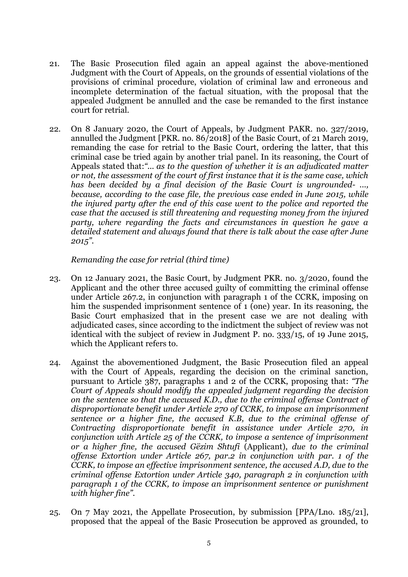- 21. The Basic Prosecution filed again an appeal against the above-mentioned Judgment with the Court of Appeals, on the grounds of essential violations of the provisions of criminal procedure, violation of criminal law and erroneous and incomplete determination of the factual situation, with the proposal that the appealed Judgment be annulled and the case be remanded to the first instance court for retrial.
- 22. On 8 January 2020, the Court of Appeals, by Judgment PAKR. no. 327/2019, annulled the Judgment [PKR. no. 86/2018] of the Basic Court, of 21 March 2019, remanding the case for retrial to the Basic Court, ordering the latter, that this criminal case be tried again by another trial panel. In its reasoning, the Court of Appeals stated that:*"... as to the question of whether it is an adjudicated matter or not, the assessment of the court of first instance that it is the same case, which has been decided by a final decision of the Basic Court is ungrounded- ..., because, according to the case file, the previous case ended in June 2015, while the injured party after the end of this case went to the police and reported the case that the accused is still threatening and requesting money from the injured party, where regarding the facts and circumstances in question he gave a detailed statement and always found that there is talk about the case after June 2015".*

*Remanding the case for retrial (third time)*

- 23. On 12 January 2021, the Basic Court, by Judgment PKR. no. 3/2020, found the Applicant and the other three accused guilty of committing the criminal offense under Article 267.2, in conjunction with paragraph 1 of the CCRK, imposing on him the suspended imprisonment sentence of 1 (one) year. In its reasoning, the Basic Court emphasized that in the present case we are not dealing with adjudicated cases, since according to the indictment the subject of review was not identical with the subject of review in Judgment P. no. 333/15, of 19 June 2015, which the Applicant refers to.
- 24. Against the abovementioned Judgment, the Basic Prosecution filed an appeal with the Court of Appeals, regarding the decision on the criminal sanction, pursuant to Article 387, paragraphs 1 and 2 of the CCRK, proposing that: *"The Court of Appeals should modify the appealed judgment regarding the decision on the sentence so that the accused K.D., due to the criminal offense Contract of disproportionate benefit under Article 270 of CCRK, to impose an imprisonment sentence or a higher fine, the accused K.B, due to the criminal offense of Contracting disproportionate benefit in assistance under Article 270, in conjunction with Article 25 of the CCRK, to impose a sentence of imprisonment or a higher fine, the accused Gëzim Shtufi* (Applicant), *due to the criminal offense Extortion under Article 267, par.2 in conjunction with par. 1 of the CCRK, to impose an effective imprisonment sentence, the accused A.D, due to the criminal offense Extortion under Article 340, paragraph 2 in conjunction with paragraph 1 of the CCRK, to impose an imprisonment sentence or punishment with higher fine".*
- 25. On 7 May 2021, the Appellate Prosecution, by submission [PPA/Lno. 185/21], proposed that the appeal of the Basic Prosecution be approved as grounded, to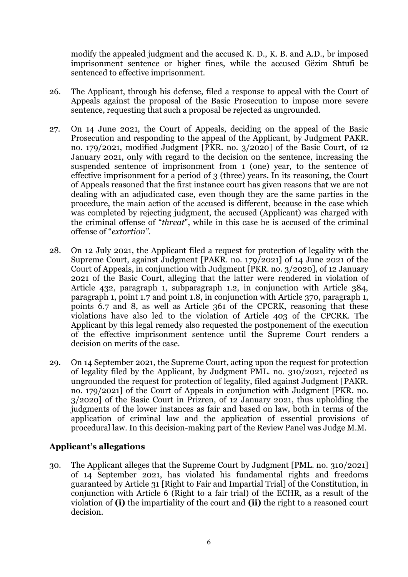modify the appealed judgment and the accused K. D., K. B. and A.D., br imposed imprisonment sentence or higher fines, while the accused Gëzim Shtufi be sentenced to effective imprisonment.

- 26. The Applicant, through his defense, filed a response to appeal with the Court of Appeals against the proposal of the Basic Prosecution to impose more severe sentence, requesting that such a proposal be rejected as ungrounded.
- 27. On 14 June 2021, the Court of Appeals, deciding on the appeal of the Basic Prosecution and responding to the appeal of the Applicant, by Judgment PAKR. no. 179/2021, modified Judgment [PKR. no. 3/2020] of the Basic Court, of 12 January 2021, only with regard to the decision on the sentence, increasing the suspended sentence of imprisonment from 1 (one) year, to the sentence of effective imprisonment for a period of 3 (three) years. In its reasoning, the Court of Appeals reasoned that the first instance court has given reasons that we are not dealing with an adjudicated case, even though they are the same parties in the procedure, the main action of the accused is different, because in the case which was completed by rejecting judgment, the accused (Applicant) was charged with the criminal offense of "*threat*", while in this case he is accused of the criminal offense of "*extortion"*.
- 28. On 12 July 2021, the Applicant filed a request for protection of legality with the Supreme Court, against Judgment [PAKR. no. 179/2021] of 14 June 2021 of the Court of Appeals, in conjunction with Judgment [PKR. no. 3/2020], of 12 January 2021 of the Basic Court, alleging that the latter were rendered in violation of Article 432, paragraph 1, subparagraph 1.2, in conjunction with Article 384, paragraph 1, point 1.7 and point 1.8, in conjunction with Article 370, paragraph 1, points 6.7 and 8, as well as Article 361 of the CPCRK, reasoning that these violations have also led to the violation of Article 403 of the CPCRK. The Applicant by this legal remedy also requested the postponement of the execution of the effective imprisonment sentence until the Supreme Court renders a decision on merits of the case.
- 29. On 14 September 2021, the Supreme Court, acting upon the request for protection of legality filed by the Applicant, by Judgment PML. no. 310/2021, rejected as ungrounded the request for protection of legality, filed against Judgment [PAKR. no. 179/2021] of the Court of Appeals in conjunction with Judgment [PKR. no. 3/2020] of the Basic Court in Prizren, of 12 January 2021, thus upholding the judgments of the lower instances as fair and based on law, both in terms of the application of criminal law and the application of essential provisions of procedural law. In this decision-making part of the Review Panel was Judge M.M.

#### **Applicant's allegations**

30. The Applicant alleges that the Supreme Court by Judgment [PML. no. 310/2021] of 14 September 2021, has violated his fundamental rights and freedoms guaranteed by Article 31 [Right to Fair and Impartial Trial] of the Constitution, in conjunction with Article 6 (Right to a fair trial) of the ECHR, as a result of the violation of **(i)** the impartiality of the court and **(ii)** the right to a reasoned court decision.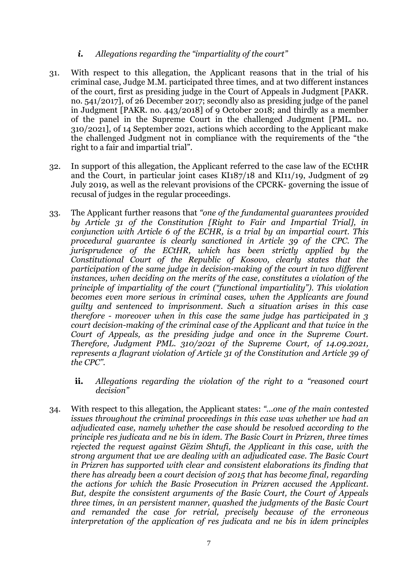## *i. Allegations regarding the "impartiality of the court"*

- 31. With respect to this allegation, the Applicant reasons that in the trial of his criminal case, Judge M.M. participated three times, and at two different instances of the court, first as presiding judge in the Court of Appeals in Judgment [PAKR. no. 541/2017], of 26 December 2017; secondly also as presiding judge of the panel in Judgment [PAKR. no. 443/2018] of 9 October 2018; and thirdly as a member of the panel in the Supreme Court in the challenged Judgment [PML. no. 310/2021], of 14 September 2021, actions which according to the Applicant make the challenged Judgment not in compliance with the requirements of the "the right to a fair and impartial trial".
- 32. In support of this allegation, the Applicant referred to the case law of the ECtHR and the Court, in particular joint cases KI187/18 and KI11/19, Judgment of 29 July 2019, as well as the relevant provisions of the CPCRK- governing the issue of recusal of judges in the regular proceedings.
- 33. The Applicant further reasons that *"one of the fundamental guarantees provided by Article 31 of the Constitution [Right to Fair and Impartial Trial], in conjunction with Article 6 of the ECHR, is a trial by an impartial court. This procedural guarantee is clearly sanctioned in Article 39 of the CPC. The jurisprudence of the ECtHR, which has been strictly applied by the Constitutional Court of the Republic of Kosovo, clearly states that the participation of the same judge in decision-making of the court in two different instances, when deciding on the merits of the case, constitutes a violation of the principle of impartiality of the court ("functional impartiality"). This violation becomes even more serious in criminal cases, when the Applicants are found guilty and sentenced to imprisonment. Such a situation arises in this case therefore - moreover when in this case the same judge has participated in 3 court decision-making of the criminal case of the Applicant and that twice in the Court of Appeals, as the presiding judge and once in the Supreme Court. Therefore, Judgment PML. 310/2021 of the Supreme Court, of 14.09.2021, represents a flagrant violation of Article 31 of the Constitution and Article 39 of the CPC".*
	- **ii.** *Allegations regarding the violation of the right to a "reasoned court decision"*
- 34. With respect to this allegation, the Applicant states: *"...one of the main contested issues throughout the criminal proceedings in this case was whether we had an adjudicated case, namely whether the case should be resolved according to the principle res judicata and ne bis in idem. The Basic Court in Prizren, three times rejected the request against Gëzim Shtufi, the Applicant in this case, with the strong argument that we are dealing with an adjudicated case. The Basic Court in Prizren has supported with clear and consistent elaborations its finding that there has already been a court decision of 2015 that has become final, regarding the actions for which the Basic Prosecution in Prizren accused the Applicant. But, despite the consistent arguments of the Basic Court, the Court of Appeals three times, in an persistent manner, quashed the judgments of the Basic Court and remanded the case for retrial, precisely because of the erroneous interpretation of the application of res judicata and ne bis in idem principles*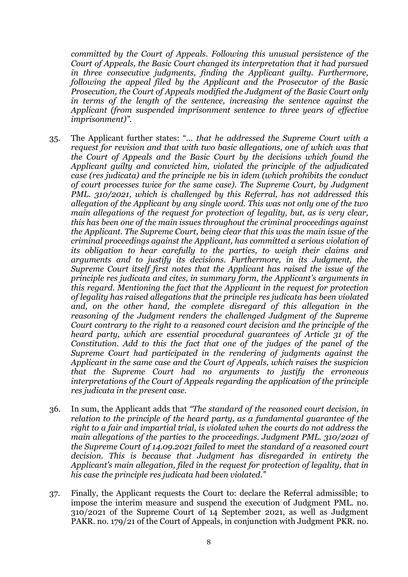*committed by the Court of Appeals. Following this unusual persistence of the Court of Appeals, the Basic Court changed its interpretation that it had pursued in three consecutive judgments, finding the Applicant guilty. Furthermore, following the appeal filed by the Applicant and the Prosecutor of the Basic Prosecution, the Court of Appeals modified the Judgment of the Basic Court only in terms of the length of the sentence, increasing the sentence against the Applicant (from suspended imprisonment sentence to three years of effective imprisonment)".*

- 35. The Applicant further states: "... *that he addressed the Supreme Court with a request for revision and that with two basic allegations, one of which was that the Court of Appeals and the Basic Court by the decisions which found the Applicant guilty and convicted him, violated the principle of the adjudicated case (res judicata) and the principle ne bis in idem (which prohibits the conduct of court processes twice for the same case). The Supreme Court, by Judgment PML. 310/2021, which is challenged by this Referral, has not addressed this allegation of the Applicant by any single word. This was not only one of the two main allegations of the request for protection of legality, but, as is very clear, this has been one of the main issues throughout the criminal proceedings against the Applicant. The Supreme Court, being clear that this was the main issue of the criminal proceedings against the Applicant, has committed a serious violation of its obligation to hear carefully to the parties, to weigh their claims and arguments and to justify its decisions. Furthermore, in its Judgment, the Supreme Court itself first notes that the Applicant has raised the issue of the principle res judicata and cites, in summary form, the Applicant's arguments in this regard. Mentioning the fact that the Applicant in the request for protection of legality has raised allegations that the principle res judicata has been violated and, on the other hand, the complete disregard of this allegation in the reasoning of the Judgment renders the challenged Judgment of the Supreme Court contrary to the right to a reasoned court decision and the principle of the heard party, which are essential procedural guarantees of Article 31 of the Constitution. Add to this the fact that one of the judges of the panel of the Supreme Court had participated in the rendering of judgments against the Applicant in the same case and the Court of Appeals, which raises the suspicion that the Supreme Court had no arguments to justify the erroneous interpretations of the Court of Appeals regarding the application of the principle res judicata in the present case.*
- 36. In sum, the Applicant adds that *"The standard of the reasoned court decision, in relation to the principle of the heard party, as a fundamental guarantee of the right to a fair and impartial trial, is violated when the courts do not address the main allegations of the parties to the proceedings. Judgment PML. 310/2021 of the Supreme Court of 14.09.2021 failed to meet the standard of a reasoned court decision. This is because that Judgment has disregarded in entirety the Applicant's main allegation, filed in the request for protection of legality, that in his case the principle res judicata had been violated."*
- 37. Finally, the Applicant requests the Court to: declare the Referral admissible; to impose the interim measure and suspend the execution of Judgment PML. no. 310/2021 of the Supreme Court of 14 September 2021, as well as Judgment PAKR. no. 179/21 of the Court of Appeals, in conjunction with Judgment PKR. no.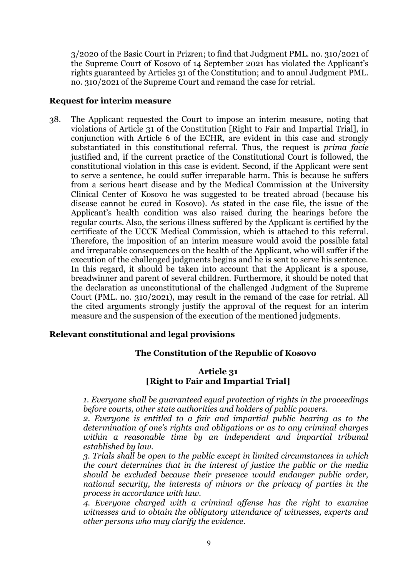3/2020 of the Basic Court in Prizren; to find that Judgment PML. no. 310/2021 of the Supreme Court of Kosovo of 14 September 2021 has violated the Applicant's rights guaranteed by Articles 31 of the Constitution; and to annul Judgment PML. no. 310/2021 of the Supreme Court and remand the case for retrial.

#### **Request for interim measure**

38. The Applicant requested the Court to impose an interim measure, noting that violations of Article 31 of the Constitution [Right to Fair and Impartial Trial], in conjunction with Article 6 of the ECHR, are evident in this case and strongly substantiated in this constitutional referral. Thus, the request is *prima facie* justified and, if the current practice of the Constitutional Court is followed, the constitutional violation in this case is evident. Second, if the Applicant were sent to serve a sentence, he could suffer irreparable harm. This is because he suffers from a serious heart disease and by the Medical Commission at the University Clinical Center of Kosovo he was suggested to be treated abroad (because his disease cannot be cured in Kosovo). As stated in the case file, the issue of the Applicant's health condition was also raised during the hearings before the regular courts. Also, the serious illness suffered by the Applicant is certified by the certificate of the UCCK Medical Commission, which is attached to this referral. Therefore, the imposition of an interim measure would avoid the possible fatal and irreparable consequences on the health of the Applicant, who will suffer if the execution of the challenged judgments begins and he is sent to serve his sentence. In this regard, it should be taken into account that the Applicant is a spouse, breadwinner and parent of several children. Furthermore, it should be noted that the declaration as unconstitutional of the challenged Judgment of the Supreme Court (PML. no. 310/2021), may result in the remand of the case for retrial. All the cited arguments strongly justify the approval of the request for an interim measure and the suspension of the execution of the mentioned judgments.

#### **Relevant constitutional and legal provisions**

#### **The Constitution of the Republic of Kosovo**

#### **Article 31 [Right to Fair and Impartial Trial]**

*1. Everyone shall be guaranteed equal protection of rights in the proceedings before courts, other state authorities and holders of public powers.* 

*2. Everyone is entitled to a fair and impartial public hearing as to the determination of one's rights and obligations or as to any criminal charges within a reasonable time by an independent and impartial tribunal established by law.* 

*3. Trials shall be open to the public except in limited circumstances in which the court determines that in the interest of justice the public or the media should be excluded because their presence would endanger public order, national security, the interests of minors or the privacy of parties in the process in accordance with law.*

*4. Everyone charged with a criminal offense has the right to examine witnesses and to obtain the obligatory attendance of witnesses, experts and other persons who may clarify the evidence.*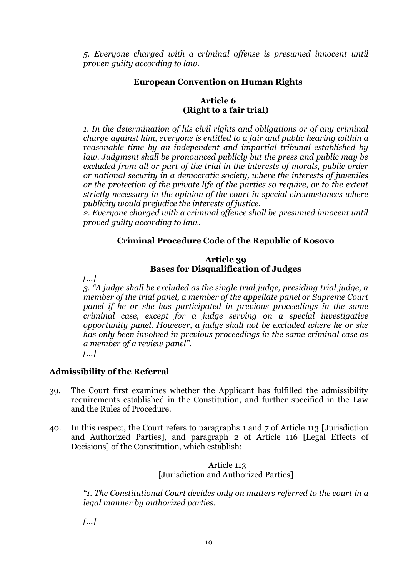*5. Everyone charged with a criminal offense is presumed innocent until proven guilty according to law.*

## **European Convention on Human Rights**

## **Article 6 (Right to a fair trial)**

*1. In the determination of his civil rights and obligations or of any criminal charge against him, everyone is entitled to a fair and public hearing within a reasonable time by an independent and impartial tribunal established by law. Judgment shall be pronounced publicly but the press and public may be excluded from all or part of the trial in the interests of morals, public order or national security in a democratic society, where the interests of juveniles or the protection of the private life of the parties so require, or to the extent strictly necessary in the opinion of the court in special circumstances where publicity would prejudice the interests of justice.*

*2. Everyone charged with a criminal offence shall be presumed innocent until proved guilty according to law*.*.* 

## **Criminal Procedure Code of the Republic of Kosovo**

#### **Article 39 Bases for Disqualification of Judges**

*[...]*

*3. "A judge shall be excluded as the single trial judge, presiding trial judge, a member of the trial panel, a member of the appellate panel or Supreme Court panel if he or she has participated in previous proceedings in the same criminal case, except for a judge serving on a special investigative opportunity panel. However, a judge shall not be excluded where he or she has only been involved in previous proceedings in the same criminal case as a member of a review panel".*

# *[...]*

## **Admissibility of the Referral**

- 39. The Court first examines whether the Applicant has fulfilled the admissibility requirements established in the Constitution, and further specified in the Law and the Rules of Procedure.
- 40. In this respect, the Court refers to paragraphs 1 and 7 of Article 113 [Jurisdiction and Authorized Parties], and paragraph 2 of Article 116 [Legal Effects of Decisions] of the Constitution, which establish:

#### Article 113 [Jurisdiction and Authorized Parties]

*"1. The Constitutional Court decides only on matters referred to the court in a legal manner by authorized parties.*

*[...]*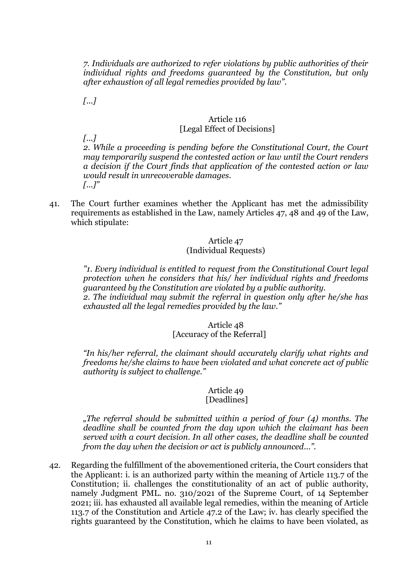*7. Individuals are authorized to refer violations by public authorities of their individual rights and freedoms guaranteed by the Constitution, but only after exhaustion of all legal remedies provided by law".*

*[...]*

#### Article 116 [Legal Effect of Decisions]

*[...]*

*2. While a proceeding is pending before the Constitutional Court, the Court may temporarily suspend the contested action or law until the Court renders a decision if the Court finds that application of the contested action or law would result in unrecoverable damages. [...]"*

41. The Court further examines whether the Applicant has met the admissibility requirements as established in the Law, namely Articles 47, 48 and 49 of the Law, which stipulate:

## Article 47 (Individual Requests)

*"1. Every individual is entitled to request from the Constitutional Court legal protection when he considers that his/ her individual rights and freedoms guaranteed by the Constitution are violated by a public authority. 2. The individual may submit the referral in question only after he/she has exhausted all the legal remedies provided by the law."*

## Article 48 [Accuracy of the Referral]

*"In his/her referral, the claimant should accurately clarify what rights and freedoms he/she claims to have been violated and what concrete act of public authority is subject to challenge."* 

## Article 49 [Deadlines]

*"The referral should be submitted within a period of four (4) months. The deadline shall be counted from the day upon which the claimant has been served with a court decision. In all other cases, the deadline shall be counted from the day when the decision or act is publicly announced...".*

42. Regarding the fulfillment of the abovementioned criteria, the Court considers that the Applicant: i. is an authorized party within the meaning of Article 113.7 of the Constitution; ii. challenges the constitutionality of an act of public authority, namely Judgment PML. no. 310/2021 of the Supreme Court, of 14 September 2021; iii. has exhausted all available legal remedies, within the meaning of Article 113.7 of the Constitution and Article 47.2 of the Law; iv. has clearly specified the rights guaranteed by the Constitution, which he claims to have been violated, as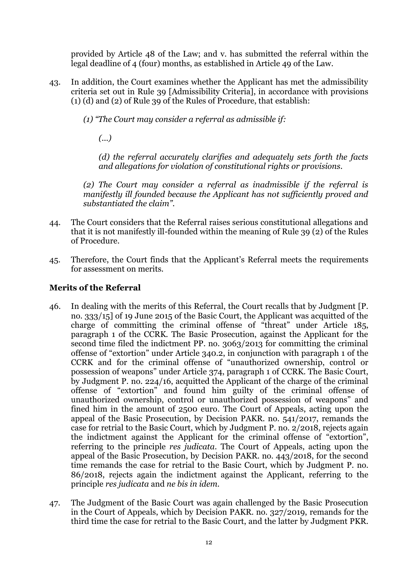provided by Article 48 of the Law; and v. has submitted the referral within the legal deadline of 4 (four) months, as established in Article 49 of the Law.

- 43. In addition, the Court examines whether the Applicant has met the admissibility criteria set out in Rule 39 [Admissibility Criteria], in accordance with provisions (1) (d) and (2) of Rule 39 of the Rules of Procedure, that establish:
	- *(1) "The Court may consider a referral as admissible if:*

*(...)*

*(d) the referral accurately clarifies and adequately sets forth the facts and allegations for violation of constitutional rights or provisions.*

*(2) The Court may consider a referral as inadmissible if the referral is manifestly ill founded because the Applicant has not sufficiently proved and substantiated the claim".*

- 44. The Court considers that the Referral raises serious constitutional allegations and that it is not manifestly ill-founded within the meaning of Rule 39 (2) of the Rules of Procedure.
- 45. Therefore, the Court finds that the Applicant's Referral meets the requirements for assessment on merits.

## **Merits of the Referral**

- 46. In dealing with the merits of this Referral, the Court recalls that by Judgment [P. no. 333/15] of 19 June 2015 of the Basic Court, the Applicant was acquitted of the charge of committing the criminal offense of "threat" under Article 185, paragraph 1 of the CCRK. The Basic Prosecution, against the Applicant for the second time filed the indictment PP. no. 3063/2013 for committing the criminal offense of "extortion" under Article 340.2, in conjunction with paragraph 1 of the CCRK and for the criminal offense of "unauthorized ownership, control or possession of weapons" under Article 374, paragraph 1 of CCRK. The Basic Court, by Judgment P. no. 224/16, acquitted the Applicant of the charge of the criminal offense of "extortion" and found him guilty of the criminal offense of unauthorized ownership, control or unauthorized possession of weapons" and fined him in the amount of 2500 euro. The Court of Appeals, acting upon the appeal of the Basic Prosecution, by Decision PAKR. no. 541/2017, remands the case for retrial to the Basic Court, which by Judgment P. no. 2/2018, rejects again the indictment against the Applicant for the criminal offense of "extortion", referring to the principle *res judicata*. The Court of Appeals, acting upon the appeal of the Basic Prosecution, by Decision PAKR. no. 443/2018, for the second time remands the case for retrial to the Basic Court, which by Judgment P. no. 86/2018, rejects again the indictment against the Applicant, referring to the principle *res judicata* and *ne bis in idem.*
- 47. The Judgment of the Basic Court was again challenged by the Basic Prosecution in the Court of Appeals, which by Decision PAKR. no. 327/2019, remands for the third time the case for retrial to the Basic Court, and the latter by Judgment PKR.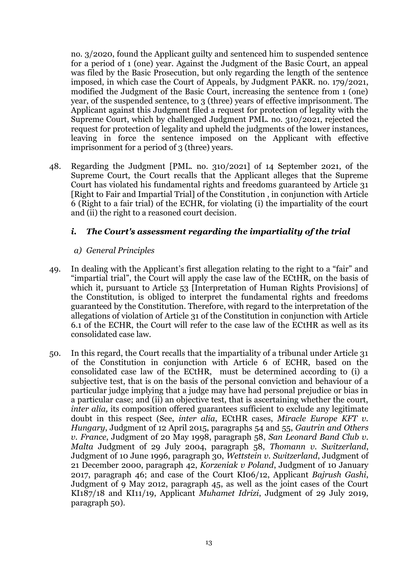no. 3/2020, found the Applicant guilty and sentenced him to suspended sentence for a period of 1 (one) year. Against the Judgment of the Basic Court, an appeal was filed by the Basic Prosecution, but only regarding the length of the sentence imposed, in which case the Court of Appeals, by Judgment PAKR. no. 179/2021, modified the Judgment of the Basic Court, increasing the sentence from 1 (one) year, of the suspended sentence, to 3 (three) years of effective imprisonment. The Applicant against this Judgment filed a request for protection of legality with the Supreme Court, which by challenged Judgment PML. no. 310/2021, rejected the request for protection of legality and upheld the judgments of the lower instances, leaving in force the sentence imposed on the Applicant with effective imprisonment for a period of 3 (three) years.

48. Regarding the Judgment [PML. no. 310/2021] of 14 September 2021, of the Supreme Court, the Court recalls that the Applicant alleges that the Supreme Court has violated his fundamental rights and freedoms guaranteed by Article 31 [Right to Fair and Impartial Trial] of the Constitution , in conjunction with Article 6 (Right to a fair trial) of the ECHR, for violating (i) the impartiality of the court and (ii) the right to a reasoned court decision.

## *i. The Court's assessment regarding the impartiality of the trial*

#### *a) General Principles*

- 49. In dealing with the Applicant's first allegation relating to the right to a "fair" and "impartial trial", the Court will apply the case law of the ECtHR, on the basis of which it, pursuant to Article 53 [Interpretation of Human Rights Provisions] of the Constitution, is obliged to interpret the fundamental rights and freedoms guaranteed by the Constitution. Therefore, with regard to the interpretation of the allegations of violation of Article 31 of the Constitution in conjunction with Article 6.1 of the ECHR, the Court will refer to the case law of the ECtHR as well as its consolidated case law.
- 50. In this regard, the Court recalls that the impartiality of a tribunal under Article 31 of the Constitution in conjunction with Article 6 of ECHR, based on the consolidated case law of the ECtHR, must be determined according to (i) a subjective test, that is on the basis of the personal conviction and behaviour of a particular judge implying that a judge may have had personal prejudice or bias in a particular case; and (ii) an objective test, that is ascertaining whether the court, *inter alia,* its composition offered guarantees sufficient to exclude any legitimate doubt in this respect (See, *inter alia*, ECtHR cases, *Miracle Europe KFT v. Hungary*, Judgment of 12 April 2015, paragraphs 54 and 55, *Gautrin and Others v. France*, Judgment of 20 May 1998, paragraph 58, *San Leonard Band Club v. Malta* Judgment of 29 July 2004, paragraph 58, *Thomann v. Switzerland*, Judgment of 10 June 1996, paragraph 30, *Wettstein v. Switzerland*, Judgment of 21 December 2000, paragraph 42, *Korzeniak v Poland*, Judgment of 10 January 2017, paragraph 46; and case of the Court KI06/12, Applicant *Bajrush Gashi*, Judgment of 9 May 2012, paragraph 45, as well as the joint cases of the Court KI187/18 and KI11/19, Applicant *Muhamet Idrizi*, Judgment of 29 July 2019, paragraph 50).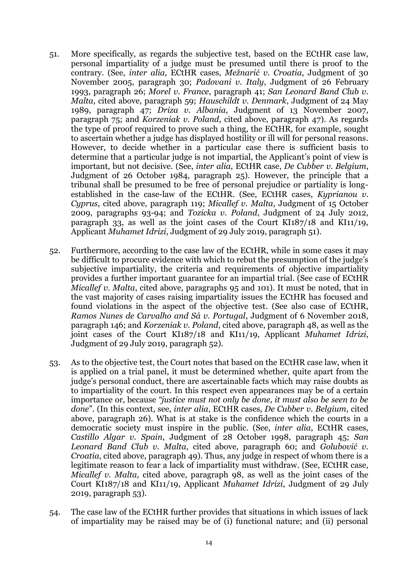- 51. More specifically, as regards the subjective test, based on the ECtHR case law, personal impartiality of a judge must be presumed until there is proof to the contrary. (See, *inter alia*, ECtHR cases, *Mežnarić v. Croatia*, Judgment of 30 November 2005, paragraph 30; *Padovani v. Italy*, Judgment of 26 February 1993, paragraph 26; *Morel v. France*, paragraph 41; *San Leonard Band Club v. Malta*, cited above, paragraph 59; *Hauschildt v. Denmark*, Judgment of 24 May 1989, paragraph 47; *Driza v. Albania*, Judgment of 13 November 2007, paragraph 75; and *Korzeniak v. Poland*, cited above, paragraph 47). As regards the type of proof required to prove such a thing, the ECtHR, for example, sought to ascertain whether a judge has displayed hostility or ill will for personal reasons. However, to decide whether in a particular case there is sufficient basis to determine that a particular judge is not impartial, the Applicant's point of view is important, but not decisive. (See, *inter alia*, ECtHR case, *De Cubber v. Belgium*, Judgment of 26 October 1984, paragraph 25). However, the principle that a tribunal shall be presumed to be free of personal prejudice or partiality is longestablished in the case-law of the ECtHR. (See, ECtHR cases, *Kyprianou v. Cyprus*, cited above, paragraph 119; *Micallef v. Malta*, Judgment of 15 October 2009, paragraphs 93-94; and *Tozicka v. Poland*, Judgment of 24 July 2012, paragraph 33, as well as the joint cases of the Court KI187/18 and KI11/19, Applicant *Muhamet Idrizi*, Judgment of 29 July 2019, paragraph 51).
- 52. Furthermore, according to the case law of the ECtHR, while in some cases it may be difficult to procure evidence with which to rebut the presumption of the judge's subjective impartiality, the criteria and requirements of objective impartiality provides a further important guarantee for an impartial trial. (See case of ECtHR *Micallef v. Malta*, cited above, paragraphs 95 and 101). It must be noted, that in the vast majority of cases raising impartiality issues the ECtHR has focused and found violations in the aspect of the objective test. (See also case of ECtHR, *Ramos Nunes de Carvalho and Sá v. Portugal*, Judgment of 6 November 2018, paragraph 146; and *Korzeniak v. Poland*, cited above, paragraph 48, as well as the joint cases of the Court KI187/18 and KI11/19, Applicant *Muhamet Idrizi*, Judgment of 29 July 2019, paragraph 52).
- 53. As to the objective test, the Court notes that based on the ECtHR case law, when it is applied on a trial panel, it must be determined whether, quite apart from the judge's personal conduct, there are ascertainable facts which may raise doubts as to impartiality of the court. In this respect even appearances may be of a certain importance or, because *"justice must not only be done, it must also be seen to be done*". (In this context, see, *inter alia*, ECtHR cases, *De Cubber v. Belgium*, cited above, paragraph 26). What is at stake is the confidence which the courts in a democratic society must inspire in the public. (See, *inter alia*, ECtHR cases, *Castillo Algar v. Spain*, Judgment of 28 October 1998, paragraph 45; *San Leonard Band Club v. Malta*, cited above, paragraph 60; and *Golubović v. Croatia*, cited above, paragraph 49). Thus, any judge in respect of whom there is a legitimate reason to fear a lack of impartiality must withdraw. (See, ECtHR case, *Micallef v. Malta,* cited above, paragraph 98, as well as the joint cases of the Court KI187/18 and KI11/19, Applicant *Muhamet Idrizi*, Judgment of 29 July 2019, paragraph 53).
- 54. The case law of the ECtHR further provides that situations in which issues of lack of impartiality may be raised may be of (i) functional nature; and (ii) personal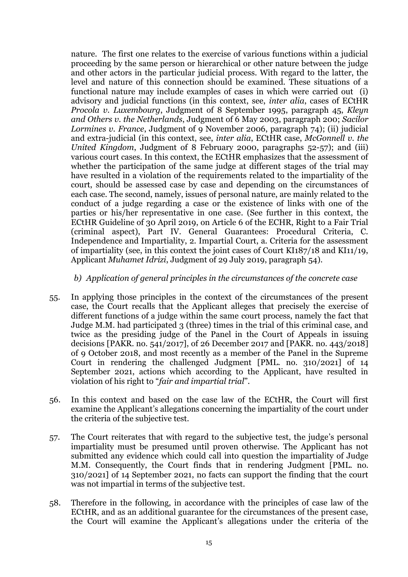nature. The first one relates to the exercise of various functions within a judicial proceeding by the same person or hierarchical or other nature between the judge and other actors in the particular judicial process. With regard to the latter, the level and nature of this connection should be examined. These situations of a functional nature may include examples of cases in which were carried out (i) advisory and judicial functions (in this context, see, *inter alia*, cases of ECtHR *Procola v. Luxembourg*, Judgment of 8 September 1995, paragraph 45, *Kleyn and Others v. the Netherlands*, Judgment of 6 May 2003, paragraph 200; *Sacilor Lormines v. France*, Judgment of 9 November 2006, paragraph 74); (ii) judicial and extra-judicial (in this context, see, *inter alia*, ECtHR case, *McGonnell v. the United Kingdom*, Judgment of 8 February 2000, paragraphs 52-57); and (iii) various court cases. In this context, the ECtHR emphasizes that the assessment of whether the participation of the same judge at different stages of the trial may have resulted in a violation of the requirements related to the impartiality of the court, should be assessed case by case and depending on the circumstances of each case. The second, namely, issues of personal nature, are mainly related to the conduct of a judge regarding a case or the existence of links with one of the parties or his/her representative in one case. (See further in this context, the ECtHR Guideline of 30 April 2019, on Article 6 of the ECHR, Right to a Fair Trial (criminal aspect), Part IV. General Guarantees: Procedural Criteria, C. Independence and Impartiality, 2. Impartial Court, a. Criteria for the assessment of impartiality (see, in this context the joint cases of Court KI187/18 and KI11/19, Applicant *Muhamet Idrizi*, Judgment of 29 July 2019, paragraph 54).

#### *b) Application of general principles in the circumstances of the concrete case*

- 55. In applying those principles in the context of the circumstances of the present case, the Court recalls that the Applicant alleges that precisely the exercise of different functions of a judge within the same court process, namely the fact that Judge M.M. had participated 3 (three) times in the trial of this criminal case, and twice as the presiding judge of the Panel in the Court of Appeals in issuing decisions [PAKR. no. 541/2017], of 26 December 2017 and [PAKR. no. 443/2018] of 9 October 2018, and most recently as a member of the Panel in the Supreme Court in rendering the challenged Judgment [PML. no. 310/2021] of 14 September 2021, actions which according to the Applicant, have resulted in violation of his right to "*fair and impartial trial*".
- 56. In this context and based on the case law of the ECtHR, the Court will first examine the Applicant's allegations concerning the impartiality of the court under the criteria of the subjective test.
- 57. The Court reiterates that with regard to the subjective test, the judge's personal impartiality must be presumed until proven otherwise. The Applicant has not submitted any evidence which could call into question the impartiality of Judge M.M. Consequently, the Court finds that in rendering Judgment [PML. no. 310/2021] of 14 September 2021, no facts can support the finding that the court was not impartial in terms of the subjective test.
- 58. Therefore in the following, in accordance with the principles of case law of the ECtHR, and as an additional guarantee for the circumstances of the present case, the Court will examine the Applicant's allegations under the criteria of the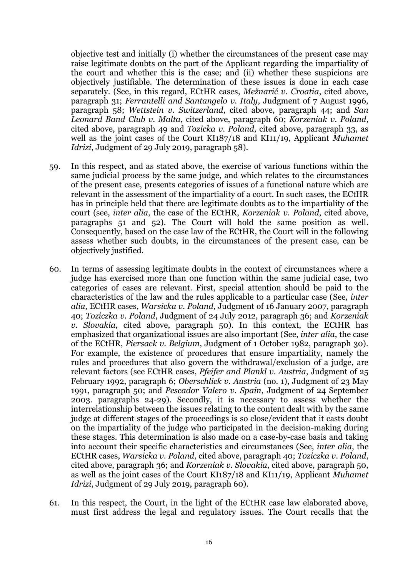objective test and initially (i) whether the circumstances of the present case may raise legitimate doubts on the part of the Applicant regarding the impartiality of the court and whether this is the case; and (ii) whether these suspicions are objectively justifiable. The determination of these issues is done in each case separately. (See, in this regard, ECtHR cases, *Mežnarić v. Croatia*, cited above, paragraph 31; *Ferrantelli and Santangelo v. Italy*, Judgment of 7 August 1996, paragraph 58; *Wettstein v. Switzerland*, cited above, paragraph 44; and *San Leonard Band Club v. Malta*, cited above, paragraph 60; *Korzeniak v. Poland*, cited above, paragraph 49 and *Tozicka v. Poland*, cited above, paragraph 33, as well as the joint cases of the Court KI187/18 and KI11/19, Applicant *Muhamet Idrizi*, Judgment of 29 July 2019, paragraph 58).

- 59. In this respect, and as stated above, the exercise of various functions within the same judicial process by the same judge, and which relates to the circumstances of the present case, presents categories of issues of a functional nature which are relevant in the assessment of the impartiality of a court. In such cases, the ECtHR has in principle held that there are legitimate doubts as to the impartiality of the court (see, *inter alia*, the case of the ECtHR, *Korzeniak v. Poland*, cited above, paragraphs 51 and 52). The Court will hold the same position as well. Consequently, based on the case law of the ECtHR, the Court will in the following assess whether such doubts, in the circumstances of the present case, can be objectively justified.
- 60. In terms of assessing legitimate doubts in the context of circumstances where a judge has exercised more than one function within the same judicial case, two categories of cases are relevant. First, special attention should be paid to the characteristics of the law and the rules applicable to a particular case (See*, inter alia*, ECtHR cases, *Warsicka v. Poland*, Judgment of 16 January 2007, paragraph 40; *Toziczka v. Poland*, Judgment of 24 July 2012, paragraph 36; and *Korzeniak v. Slovakia*, cited above, paragraph 50). In this context, the ECtHR has emphasized that organizational issues are also important (See, *inter alia*, the case of the ECtHR, *Piersack v. Belgium*, Judgment of 1 October 1982, paragraph 30). For example, the existence of procedures that ensure impartiality, namely the rules and procedures that also govern the withdrawal/exclusion of a judge, are relevant factors (see ECtHR cases, *Pfeifer and Plankl v. Austria*, Judgment of 25 February 1992, paragraph 6; *Oberschlick v. Austria* (no. 1), Judgment of 23 May 1991, paragraph 50; and *Pescador Valero v. Spain*, Judgment of 24 September 2003. paragraphs 24-29). Secondly, it is necessary to assess whether the interrelationship between the issues relating to the content dealt with by the same judge at different stages of the proceedings is so close/evident that it casts doubt on the impartiality of the judge who participated in the decision-making during these stages. This determination is also made on a case-by-case basis and taking into account their specific characteristics and circumstances (See, *inter alia*, the ECtHR cases, *Warsicka v. Poland*, cited above, paragraph 40; *Toziczka v. Poland*, cited above, paragraph 36; and *Korzeniak v. Slovakia*, cited above, paragraph 50, as well as the joint cases of the Court KI187/18 and KI11/19, Applicant *Muhamet Idrizi*, Judgment of 29 July 2019, paragraph 60).
- 61. In this respect, the Court, in the light of the ECtHR case law elaborated above, must first address the legal and regulatory issues. The Court recalls that the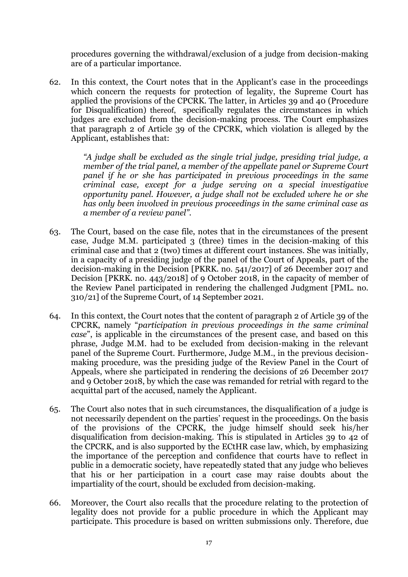procedures governing the withdrawal/exclusion of a judge from decision-making are of a particular importance.

62. In this context, the Court notes that in the Applicant's case in the proceedings which concern the requests for protection of legality, the Supreme Court has applied the provisions of the CPCRK. The latter, in Articles 39 and 40 (Procedure for Disqualification) thereof, specifically regulates the circumstances in which judges are excluded from the decision-making process. The Court emphasizes that paragraph 2 of Article 39 of the CPCRK, which violation is alleged by the Applicant, establishes that:

> *"A judge shall be excluded as the single trial judge, presiding trial judge, a member of the trial panel, a member of the appellate panel or Supreme Court panel if he or she has participated in previous proceedings in the same criminal case, except for a judge serving on a special investigative opportunity panel. However, a judge shall not be excluded where he or she has only been involved in previous proceedings in the same criminal case as a member of a review panel".*

- 63. The Court, based on the case file, notes that in the circumstances of the present case, Judge M.M. participated 3 (three) times in the decision-making of this criminal case and that 2 (two) times at different court instances. She was initially, in a capacity of a presiding judge of the panel of the Court of Appeals, part of the decision-making in the Decision [PKRK. no. 541/2017] of 26 December 2017 and Decision [PKRK. no. 443/2018] of 9 October 2018, in the capacity of member of the Review Panel participated in rendering the challenged Judgment [PML. no. 310/21] of the Supreme Court, of 14 September 2021.
- 64. In this context, the Court notes that the content of paragraph 2 of Article 39 of the CPCRK, namely "*participation in previous proceedings in the same criminal case*", is applicable in the circumstances of the present case, and based on this phrase, Judge M.M. had to be excluded from decision-making in the relevant panel of the Supreme Court. Furthermore, Judge M.M., in the previous decisionmaking procedure, was the presiding judge of the Review Panel in the Court of Appeals, where she participated in rendering the decisions of 26 December 2017 and 9 October 2018, by which the case was remanded for retrial with regard to the acquittal part of the accused, namely the Applicant.
- 65. The Court also notes that in such circumstances, the disqualification of a judge is not necessarily dependent on the parties' request in the proceedings. On the basis of the provisions of the CPCRK, the judge himself should seek his/her disqualification from decision-making. This is stipulated in Articles 39 to 42 of the CPCRK, and is also supported by the ECtHR case law, which, by emphasizing the importance of the perception and confidence that courts have to reflect in public in a democratic society, have repeatedly stated that any judge who believes that his or her participation in a court case may raise doubts about the impartiality of the court, should be excluded from decision-making.
- 66. Moreover, the Court also recalls that the procedure relating to the protection of legality does not provide for a public procedure in which the Applicant may participate. This procedure is based on written submissions only. Therefore, due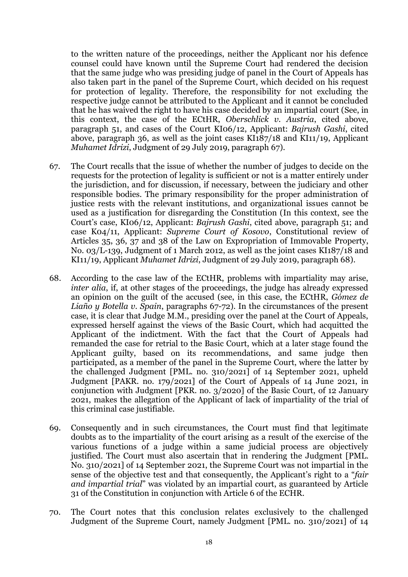to the written nature of the proceedings, neither the Applicant nor his defence counsel could have known until the Supreme Court had rendered the decision that the same judge who was presiding judge of panel in the Court of Appeals has also taken part in the panel of the Supreme Court, which decided on his request for protection of legality. Therefore, the responsibility for not excluding the respective judge cannot be attributed to the Applicant and it cannot be concluded that he has waived the right to have his case decided by an impartial court (See, in this context, the case of the ECtHR, *Oberschlick v. Austria*, cited above, paragraph 51, and cases of the Court KI06/12, Applicant: *Bajrush Gashi*, cited above, paragraph 36, as well as the joint cases KI187/18 and KI11/19, Applicant *Muhamet Idrizi*, Judgment of 29 July 2019, paragraph 67).

- 67. The Court recalls that the issue of whether the number of judges to decide on the requests for the protection of legality is sufficient or not is a matter entirely under the jurisdiction, and for discussion, if necessary, between the judiciary and other responsible bodies. The primary responsibility for the proper administration of justice rests with the relevant institutions, and organizational issues cannot be used as a justification for disregarding the Constitution (In this context, see the Court's case, KI06/12, Applicant: *Bajrush Gashi*, cited above, paragraph 51; and case K04/11, Applicant: *Supreme Court of Kosovo*, Constitutional review of Articles 35, 36, 37 and 38 of the Law on Expropriation of Immovable Property, No. 03/L-139, Judgment of 1 March 2012, as well as the joint cases KI187/18 and KI11/19, Applicant *Muhamet Idrizi*, Judgment of 29 July 2019, paragraph 68).
- 68. According to the case law of the ECtHR, problems with impartiality may arise, *inter alia*, if, at other stages of the proceedings, the judge has already expressed an opinion on the guilt of the accused (see, in this case, the ECtHR, *Gómez de Liaño y Botella v. Spain*, paragraphs 67-72). In the circumstances of the present case, it is clear that Judge M.M., presiding over the panel at the Court of Appeals, expressed herself against the views of the Basic Court, which had acquitted the Applicant of the indictment. With the fact that the Court of Appeals had remanded the case for retrial to the Basic Court, which at a later stage found the Applicant guilty, based on its recommendations, and same judge then participated, as a member of the panel in the Supreme Court, where the latter by the challenged Judgment [PML. no. 310/2021] of 14 September 2021, upheld Judgment [PAKR. no. 179/2021] of the Court of Appeals of 14 June 2021, in conjunction with Judgment [PKR. no. 3/2020] of the Basic Court, of 12 January 2021, makes the allegation of the Applicant of lack of impartiality of the trial of this criminal case justifiable.
- 69. Consequently and in such circumstances, the Court must find that legitimate doubts as to the impartiality of the court arising as a result of the exercise of the various functions of a judge within a same judicial process are objectively justified. The Court must also ascertain that in rendering the Judgment [PML. No. 310/2021] of 14 September 2021, the Supreme Court was not impartial in the sense of the objective test and that consequently, the Applicant's right to a "*fair and impartial trial*" was violated by an impartial court, as guaranteed by Article 31 of the Constitution in conjunction with Article 6 of the ECHR.
- 70. The Court notes that this conclusion relates exclusively to the challenged Judgment of the Supreme Court, namely Judgment [PML. no. 310/2021] of 14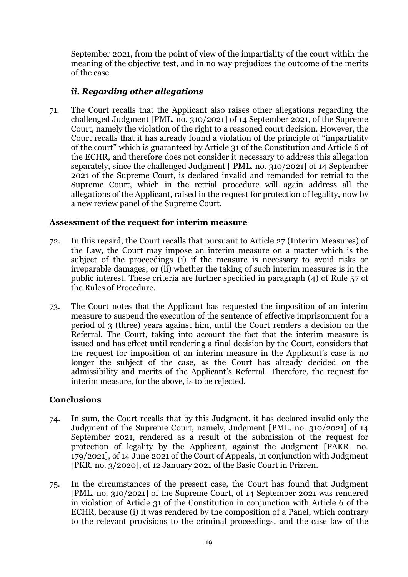September 2021, from the point of view of the impartiality of the court within the meaning of the objective test, and in no way prejudices the outcome of the merits of the case.

## *ii. Regarding other allegations*

71. The Court recalls that the Applicant also raises other allegations regarding the challenged Judgment [PML. no. 310/2021] of 14 September 2021, of the Supreme Court, namely the violation of the right to a reasoned court decision. However, the Court recalls that it has already found a violation of the principle of "impartiality of the court" which is guaranteed by Article 31 of the Constitution and Article 6 of the ECHR, and therefore does not consider it necessary to address this allegation separately, since the challenged Judgment [ PML. no. 310/2021] of 14 September 2021 of the Supreme Court, is declared invalid and remanded for retrial to the Supreme Court, which in the retrial procedure will again address all the allegations of the Applicant, raised in the request for protection of legality, now by a new review panel of the Supreme Court.

## **Assessment of the request for interim measure**

- 72. In this regard, the Court recalls that pursuant to Article 27 (Interim Measures) of the Law, the Court may impose an interim measure on a matter which is the subject of the proceedings (i) if the measure is necessary to avoid risks or irreparable damages; or (ii) whether the taking of such interim measures is in the public interest. These criteria are further specified in paragraph (4) of Rule 57 of the Rules of Procedure.
- 73. The Court notes that the Applicant has requested the imposition of an interim measure to suspend the execution of the sentence of effective imprisonment for a period of 3 (three) years against him, until the Court renders a decision on the Referral. The Court, taking into account the fact that the interim measure is issued and has effect until rendering a final decision by the Court, considers that the request for imposition of an interim measure in the Applicant's case is no longer the subject of the case, as the Court has already decided on the admissibility and merits of the Applicant's Referral. Therefore, the request for interim measure, for the above, is to be rejected.

#### **Conclusions**

- 74. In sum, the Court recalls that by this Judgment, it has declared invalid only the Judgment of the Supreme Court, namely, Judgment [PML. no. 310/2021] of 14 September 2021, rendered as a result of the submission of the request for protection of legality by the Applicant, against the Judgment [PAKR. no. 179/2021], of 14 June 2021 of the Court of Appeals, in conjunction with Judgment [PKR. no. 3/2020], of 12 January 2021 of the Basic Court in Prizren.
- 75. In the circumstances of the present case, the Court has found that Judgment [PML. no. 310/2021] of the Supreme Court, of 14 September 2021 was rendered in violation of Article 31 of the Constitution in conjunction with Article 6 of the ECHR, because (i) it was rendered by the composition of a Panel, which contrary to the relevant provisions to the criminal proceedings, and the case law of the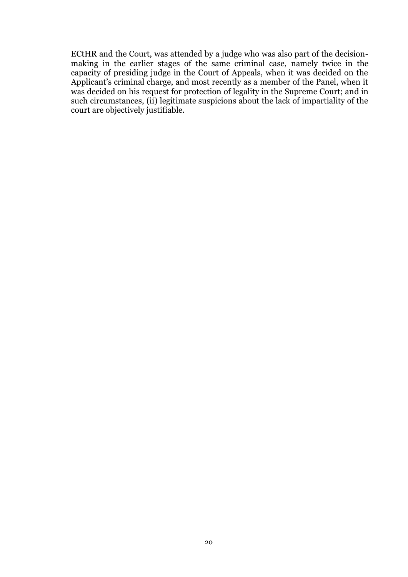ECtHR and the Court, was attended by a judge who was also part of the decisionmaking in the earlier stages of the same criminal case, namely twice in the capacity of presiding judge in the Court of Appeals, when it was decided on the Applicant's criminal charge, and most recently as a member of the Panel, when it was decided on his request for protection of legality in the Supreme Court; and in such circumstances, (ii) legitimate suspicions about the lack of impartiality of the court are objectively justifiable*.*